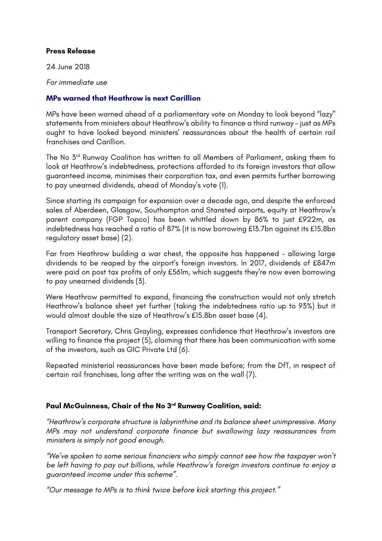#### **Press Release**

24 June 2018

*For immediate use*

#### **MPs warned that Heathrow is next Carillion**

MPs have been warned ahead of a parliamentary vote on Monday to look beyond "lazy" statements from ministers about Heathrow's ability to finance a third runway – just as MPs ought to have looked beyond ministers' reassurances about the health of certain rail franchises and Carillion.

The No 3<sup>rd</sup> Runway Coalition has written to all Members of Parliament, asking them to look at Heathrow's indebtedness, protections afforded to its foreign investors that allow guaranteed income, minimises their corporation tax, and even permits further borrowing to pay unearned dividends, ahead of Monday's vote (1).

Since starting its campaign for expansion over a decade ago, and despite the enforced sales of Aberdeen, Glasgow, Southampton and Stansted airports, equity at Heathrow's parent company (FGP Topco) has been whittled down by 86% to just £922m, as indebtedness has reached a ratio of 87% (it is now borrowing £13.7bn against its £15.8bn regulatory asset base) (2).

Far from Heathrow building a war chest, the opposite has happened - allowing large dividends to be reaped by the airport's foreign investors. In 2017, dividends of £847m were paid on post tax profits of only £561m, which suggests they're now even borrowing to pay unearned dividends (3).

Were Heathrow permitted to expand, financing the construction would not only stretch Heathrow's balance sheet yet further (taking the indebtedness ratio up to 93%) but it would almost double the size of Heathrow's £15.8bn asset base (4).

Transport Secretary, Chris Grayling, expresses confidence that Heathrow's investors are willing to finance the project (5), claiming that there has been communication with some of the investors, such as GIC Private Ltd (6).

Repeated ministerial reassurances have been made before; from the DfT, in respect of certain rail franchises, long after the writing was on the wall (7).

## **Paul McGuinness, Chair of the No 3rd Runway Coalition, said:**

*"Heathrow's corporate structure is labyrinthine and its balance sheet unimpressive. Many MPs may not understand corporate finance but swallowing lazy reassurances from ministers is simply not good enough.*

*"We've spoken to some serious financiers who simply cannot see how the taxpayer won't be left having to pay out billions, while Heathrow's foreign investors continue to enjoy a guaranteed income under this scheme".*

*"Our message to MPs is to think twice before kick starting this project."*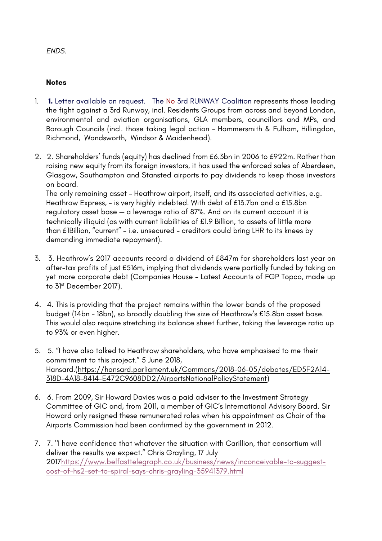# *ENDS.*

## **Notes**

- 1. **1.** Letter available on request. The No 3rd RUNWAY Coalition represents those leading the fight against a 3rd Runway, incl. Residents Groups from across and beyond London, environmental and aviation organisations, GLA members, councillors and MPs, and Borough Councils (incl. those taking legal action – Hammersmith & Fulham, Hillingdon, Richmond, Wandsworth, Windsor & Maidenhead).
- 2. 2. Shareholders' funds (equity) has declined from £6.3bn in 2006 to £922m. Rather than raising new equity from its foreign investors, it has used the enforced sales of Aberdeen, Glasgow, Southampton and Stansted airports to pay dividends to keep those investors on board.

The only remaining asset – Heathrow airport, itself, and its associated activities, e.g. Heathrow Express, - is very highly indebted. With debt of £13.7bn and a £15.8bn regulatory asset base — a leverage ratio of 87%. And on its current account it is technically illiquid (as with current liabilities of £1.9 Billion, to assets of little more than £1Billion, "current" – i.e. unsecured – creditors could bring LHR to its knees by demanding immediate repayment).

- 3. 3. Heathrow's 2017 accounts record a dividend of £847m for shareholders last year on after-tax profits of just £516m, implying that dividends were partially funded by taking on yet more corporate debt (Companies House – Latest Accounts of FGP Topco, made up to 31<sup>st</sup> December 2017).
- 4. 4. This is providing that the project remains within the lower bands of the proposed budget (14bn – 18bn), so broadly doubling the size of Heathrow's £15.8bn asset base. This would also require stretching its balance sheet further, taking the leverage ratio up to 93% or even higher.
- 5. 5. "I have also talked to Heathrow shareholders, who have emphasised to me their commitment to this project." 5 June 2018, Hansard.(https://hansard.parliament.uk/Commons/2018-06-05/debates/ED5F2A14- 318D-4A18-8414-E472C9608DD2/AirportsNationalPolicyStatement)
- 6. 6. From 2009, Sir Howard Davies was a paid adviser to the Investment Strategy Committee of GIC and, from 2011, a member of GIC's International Advisory Board. Sir Howard only resigned these remunerated roles when his appointment as Chair of the Airports Commission had been confirmed by the government in 2012.
- 7. 7. "I have confidence that whatever the situation with Carillion, that consortium will deliver the results we expect." Chris Grayling, 17 July 2017https://www.belfasttelegraph.co.uk/business/news/inconceivable-to-suggestcost-of-hs2-set-to-spiral-says-chris-grayling-35941379.html